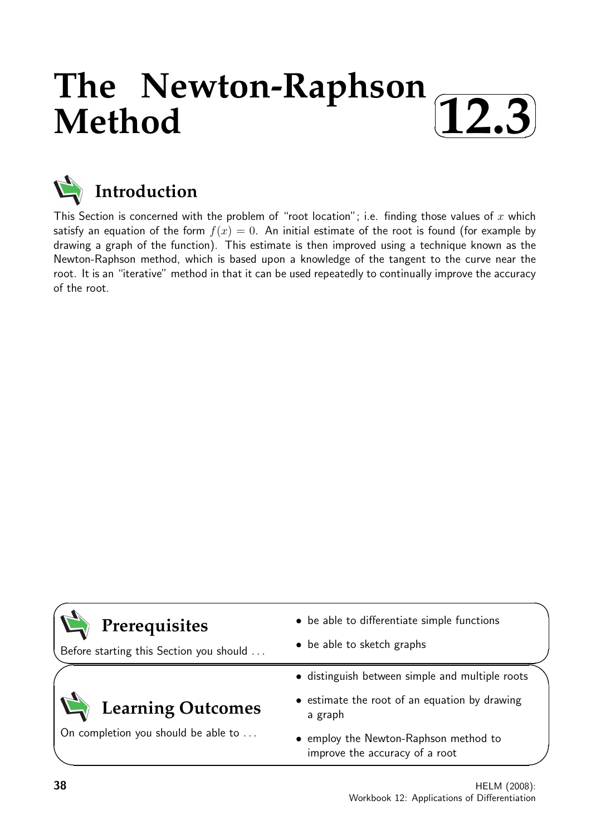## **The Newton-Raphson Method** ✓ **12.3**✑ ✒ ✏



This Section is concerned with the problem of "root location"; i.e. finding those values of  $x$  which satisfy an equation of the form  $f(x) = 0$ . An initial estimate of the root is found (for example by drawing a graph of the function). This estimate is then improved using a technique known as the Newton-Raphson method, which is based upon a knowledge of the tangent to the curve near the root. It is an "iterative" method in that it can be used repeatedly to continually improve the accuracy of the root.

| Prerequisites                           | • be able to differentiate simple functions                             |
|-----------------------------------------|-------------------------------------------------------------------------|
| Before starting this Section you should | • be able to sketch graphs                                              |
|                                         | • distinguish between simple and multiple roots                         |
| <b>Learning Outcomes</b>                | • estimate the root of an equation by drawing<br>a graph                |
| On completion you should be able to     | • employ the Newton-Raphson method to<br>improve the accuracy of a root |

 $\overline{\phantom{0}}$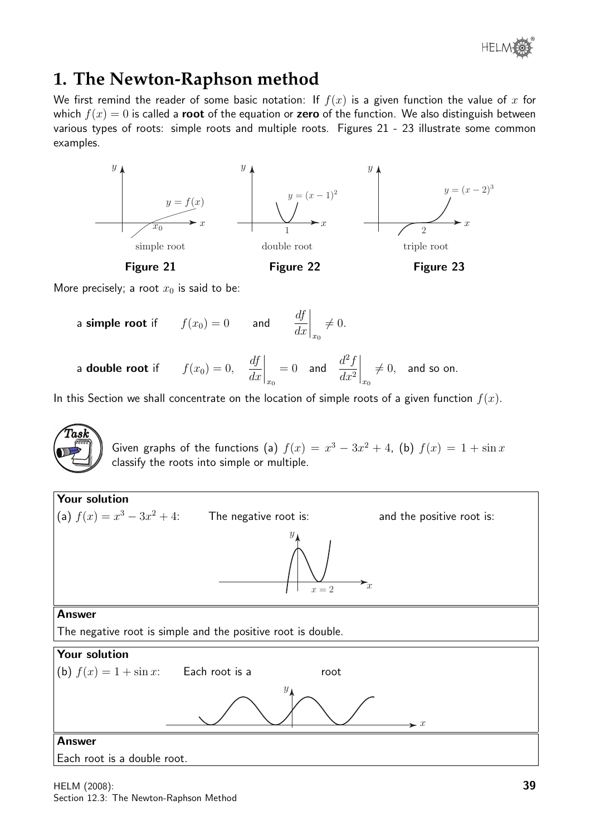

# **1. The Newton-Raphson method**

We first remind the reader of some basic notation: If  $f(x)$  is a given function the value of x for which  $f(x) = 0$  is called a **root** of the equation or **zero** of the function. We also distinguish between various types of roots: simple roots and multiple roots. Figures 21 - 23 illustrate some common examples.



More precisely; a root  $x_0$  is said to be:

a simple root if 
$$
f(x_0) = 0
$$
 and  $\left. \frac{df}{dx} \right|_{x_0} \neq 0$ .  
a double root if  $f(x_0) = 0$ ,  $\left. \frac{df}{dx} \right|_{x_0} = 0$  and  $\left. \frac{d^2f}{dx^2} \right|_{x_0} \neq 0$ , and so on.

In this Section we shall concentrate on the location of simple roots of a given function  $f(x)$ .

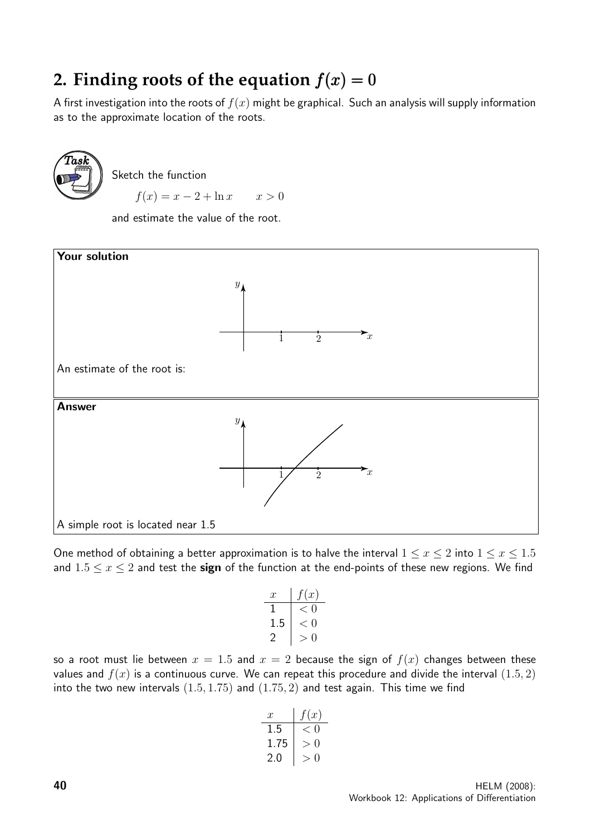# **2. Finding roots of the equation**  $f(x) = 0$

A first investigation into the roots of  $f(x)$  might be graphical. Such an analysis will supply information as to the approximate location of the roots.



Sketch the function

 $f(x) = x - 2 + \ln x$   $x > 0$ 

and estimate the value of the root.



One method of obtaining a better approximation is to halve the interval  $1 \le x \le 2$  into  $1 \le x \le 1.5$ and  $1.5 \le x \le 2$  and test the sign of the function at the end-points of these new regions. We find

$$
\begin{array}{c|c}\nx & f(x) \\
1 & < 0 \\
1.5 & < 0 \\
2 & > 0\n\end{array}
$$

so a root must lie between  $x = 1.5$  and  $x = 2$  because the sign of  $f(x)$  changes between these values and  $f(x)$  is a continuous curve. We can repeat this procedure and divide the interval  $(1.5, 2)$ into the two new intervals  $(1.5, 1.75)$  and  $(1.75, 2)$  and test again. This time we find

| $x$  | $f(x)$ |
|------|--------|
| 1.5  | $< 0$  |
| 1.75 | $> 0$  |
| 2.0  | $> 0$  |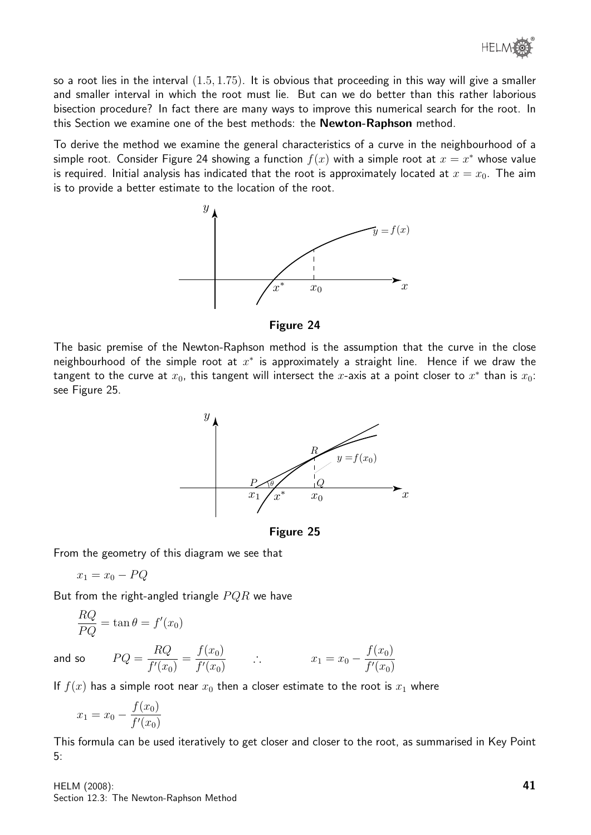® **HELM** 

so a root lies in the interval  $(1.5, 1.75)$ . It is obvious that proceeding in this way will give a smaller and smaller interval in which the root must lie. But can we do better than this rather laborious bisection procedure? In fact there are many ways to improve this numerical search for the root. In this Section we examine one of the best methods: the Newton-Raphson method.

To derive the method we examine the general characteristics of a curve in the neighbourhood of a simple root. Consider Figure 24 showing a function  $f(x)$  with a simple root at  $x = x^*$  whose value is required. Initial analysis has indicated that the root is approximately located at  $x = x_0$ . The aim is to provide a better estimate to the location of the root.



Figure 24

The basic premise of the Newton-Raphson method is the assumption that the curve in the close neighbourhood of the simple root at  $x^*$  is approximately a straight line. Hence if we draw the tangent to the curve at  $x_0$ , this tangent will intersect the  $x$ -axis at a point closer to  $x^*$  than is  $x_0$ : see Figure 25.



Figure 25

From the geometry of this diagram we see that

$$
x_1 = x_0 - PQ
$$

But from the right-angled triangle  $PQR$  we have

$$
\frac{RQ}{PQ} = \tan \theta = f'(x_0)
$$
  
So 
$$
PQ = \frac{RQ}{f'(x_0)} = \frac{f(x_0)}{f'(x_0)} \qquad \therefore \qquad x_1 = x_0 - \frac{f(x_0)}{f'(x_0)}
$$

and

If  $f(x)$  has a simple root near  $x_0$  then a closer estimate to the root is  $x_1$  where

$$
x_1 = x_0 - \frac{f(x_0)}{f'(x_0)}
$$

This formula can be used iteratively to get closer and closer to the root, as summarised in Key Point 5:

HELM (2008): Section 12.3: The Newton-Raphson Method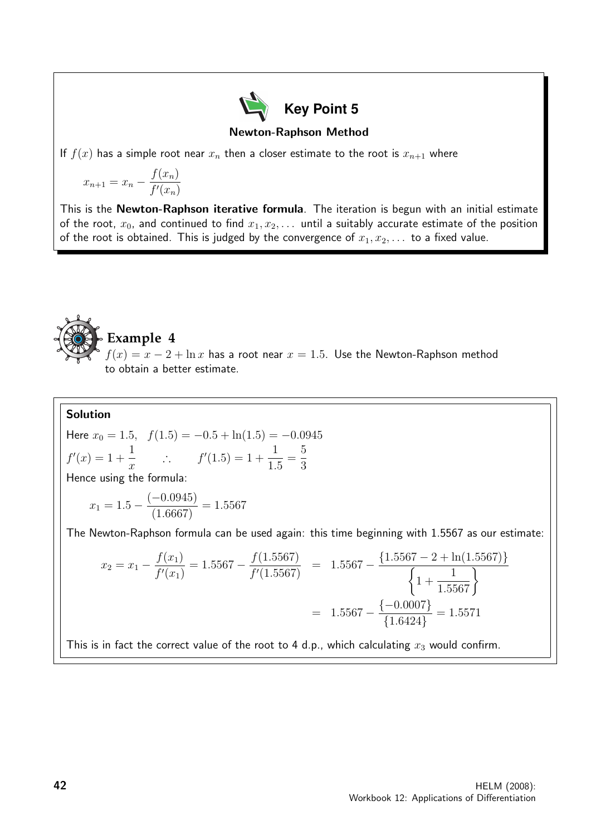

Newton-Raphson Method

If  $f(x)$  has a simple root near  $x_n$  then a closer estimate to the root is  $x_{n+1}$  where

$$
x_{n+1} = x_n - \frac{f(x_n)}{f'(x_n)}
$$

This is the Newton-Raphson iterative formula. The iteration is begun with an initial estimate of the root,  $x_0$ , and continued to find  $x_1, x_2, \ldots$  until a suitably accurate estimate of the position of the root is obtained. This is judged by the convergence of  $x_1, x_2, \ldots$  to a fixed value.



#### Solution

Here 
$$
x_0 = 1.5
$$
,  $f(1.5) = -0.5 + \ln(1.5) = -0.0945$   
\n $f'(x) = 1 + \frac{1}{x}$   $\therefore$   $f'(1.5) = 1 + \frac{1}{1.5} = \frac{5}{3}$   
\nHence using the formula:

$$
x_1 = 1.5 - \frac{(-0.0945)}{(1.6667)} = 1.5567
$$

The Newton-Raphson formula can be used again: this time beginning with 1.5567 as our estimate:

$$
x_2 = x_1 - \frac{f(x_1)}{f'(x_1)} = 1.5567 - \frac{f(1.5567)}{f'(1.5567)} = 1.5567 - \frac{\{1.5567 - 2 + \ln(1.5567)\}}{\left\{1 + \frac{1}{1.5567}\right\}}
$$

$$
= 1.5567 - \frac{\{-0.0007\}}{\{1.6424\}} = 1.5571
$$

This is in fact the correct value of the root to 4 d.p., which calculating  $x_3$  would confirm.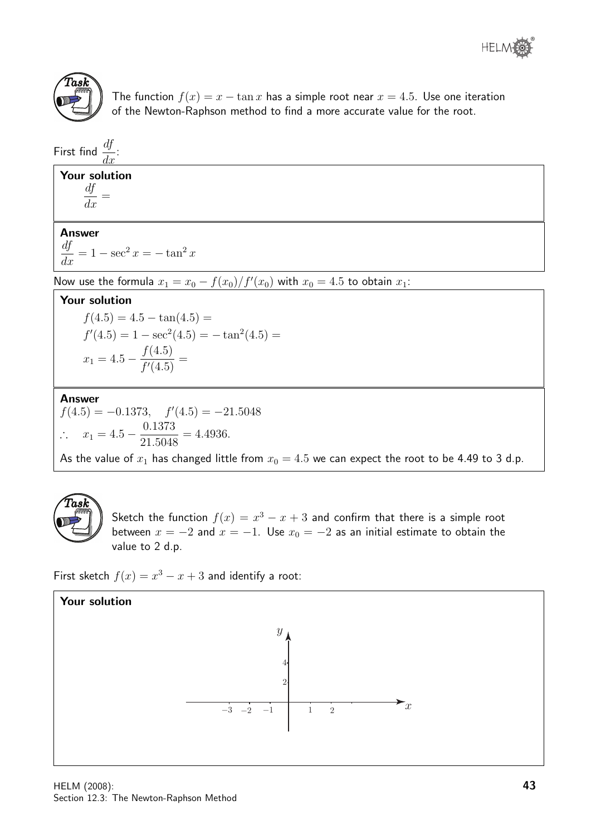



The function  $f(x) = x - \tan x$  has a simple root near  $x = 4.5$ . Use one iteration of the Newton-Raphson method to find a more accurate value for the root.

First find  $\frac{df}{dt}$  $\frac{dy}{dx}$ :

#### Your solution

df  $\frac{dy}{dx} =$ 

#### Answer

 $\frac{df}{dx} = 1 - \sec^2 x = -\tan^2 x$ 

Now use the formula  $x_1 = x_0 - \frac{f(x_0)}{f'(x_0)}$  with  $x_0 = 4.5$  to obtain  $x_1$ :

#### Your solution

 $f(4.5) = 4.5 - \tan(4.5) =$  $f'(4.5) = 1 - \sec^2(4.5) = -\tan^2(4.5) =$  $x_1 = 4.5 - \frac{f(4.5)}{f(4.5)}$  $\frac{f(4.5)}{f'(4.5)}$  =

#### Answer

 $f(4.5) = -0.1373$ ,  $f'(4.5) = -21.5048$ ∴  $x_1 = 4.5 - \frac{0.1373}{31.5048}$ 21.5048  $= 4.4936.$ 

As the value of  $x_1$  has changed little from  $x_0 = 4.5$  we can expect the root to be 4.49 to 3 d.p.



Sketch the function  $f(x) = x^3 - x + 3$  and confirm that there is a simple root between  $x = -2$  and  $x = -1$ . Use  $x_0 = -2$  as an initial estimate to obtain the value to 2 d.p.

First sketch  $f(x) = x^3 - x + 3$  and identify a root:

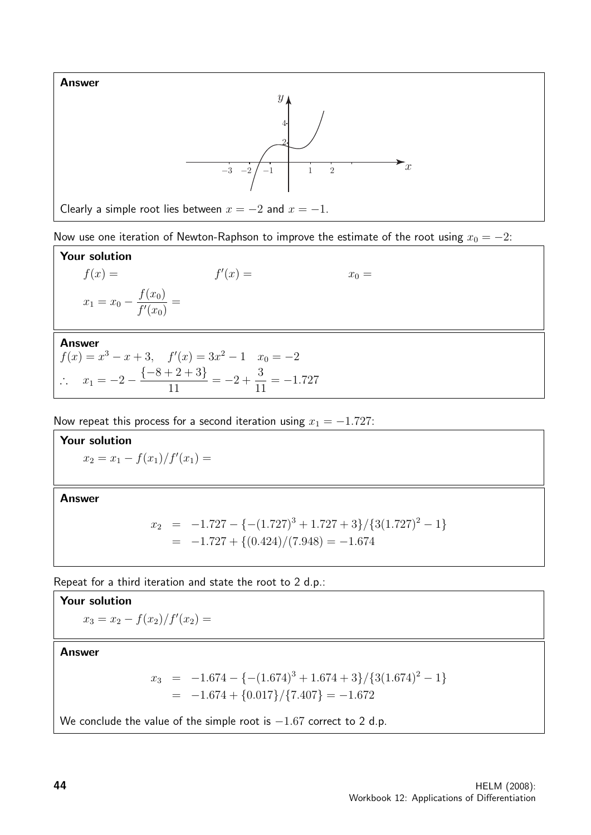

Now use one iteration of Newton-Raphson to improve the estimate of the root using  $x_0 = -2$ :

Your solution  $f(x) =$  $x_0 = x_0 = x_0$  $x_1 = x_0 - \frac{f(x_0)}{f(x_0)}$  $f'(x_0)$ =

#### Answer

$$
f(x) = x3 - x + 3, \quad f'(x) = 3x2 - 1 \quad x0 = -2
$$
  
\n
$$
\therefore \quad x1 = -2 - \frac{\{-8 + 2 + 3\}}{11} = -2 + \frac{3}{11} = -1.727
$$

Now repeat this process for a second iteration using  $x_1 = -1.727$ :

Your solution  $x_2 = x_1 - \frac{f(x_1)}{f'(x_1)} =$ 

Answer

$$
x_2 = -1.727 - \{-(1.727)^3 + 1.727 + 3\}/\{3(1.727)^2 - 1\}
$$
  
= -1.727 + \{(0.424)/(7.948) = -1.674

Repeat for a third iteration and state the root to 2 d.p.:

#### Your solution

$$
x_3 = x_2 - \frac{f(x_2)}{f'(x_2)} =
$$

Answer

$$
x_3 = -1.674 - \{-(1.674)^3 + 1.674 + 3\}/\{3(1.674)^2 - 1\}
$$
  
= -1.674 + {0.017}/\{7.407\} = -1.672

We conclude the value of the simple root is  $-1.67$  correct to 2 d.p.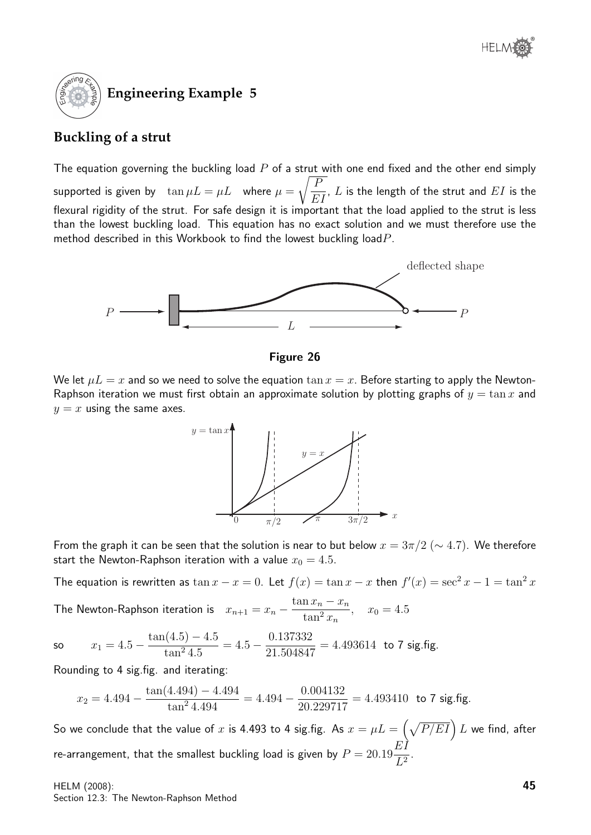

### **Buckling of a strut**

The equation governing the buckling load  $P$  of a strut with one end fixed and the other end simply supported is given by  $\tan \mu L = \mu L$  where  $\mu =$  $\sqrt{F}$ EI ,  $L$  is the length of the strut and  $EI$  is the flexural rigidity of the strut. For safe design it is important that the load applied to the strut is less than the lowest buckling load. This equation has no exact solution and we must therefore use the method described in this Workbook to find the lowest buckling load  $P$ .



Figure 26

We let  $\mu L = x$  and so we need to solve the equation  $\tan x = x$ . Before starting to apply the Newton-Raphson iteration we must first obtain an approximate solution by plotting graphs of  $y = \tan x$  and  $y = x$  using the same axes.



From the graph it can be seen that the solution is near to but below  $x = 3\pi/2$  ( $\sim 4.7$ ). We therefore start the Newton-Raphson iteration with a value  $x_0 = 4.5$ .

The equation is rewritten as  $\tan x - x = 0$ . Let  $f(x) = \tan x - x$  then  $f'(x) = \sec^2 x - 1 = \tan^2 x$ 

The Newton-Raphson iteration is  $x_{n+1} = x_n \tan x_n - x_n$  $\frac{\ln x_n - x_n}{\tan^2 x_n}, \quad x_0 = 4.5$ 

so  $x_1 = 4.5$  $tan(4.5) - 4.5$  $\frac{(4.5) - 4.5}{\tan^2 4.5} = 4.5 - \frac{0.137332}{21.504847}$ 21.504847  $= 4.493614$  to 7 sig.fig.

Rounding to 4 sig.fig. and iterating:

$$
x_2 = 4.494 - \frac{\tan(4.494) - 4.494}{\tan^2 4.494} = 4.494 - \frac{0.004132}{20.229717} = 4.493410
$$
 to 7 sig.fig.

So we conclude that the value of  $x$  is 4.493 to 4 sig.fig. As  $x=\mu L=\left(\sqrt{P/EI}\right)L$  we find, after re-arrangement, that the smallest buckling load is given by  $P=20.19$ EI  $\frac{1}{L^2}$ .

HELM (2008): Section 12.3: The Newton-Raphson Method